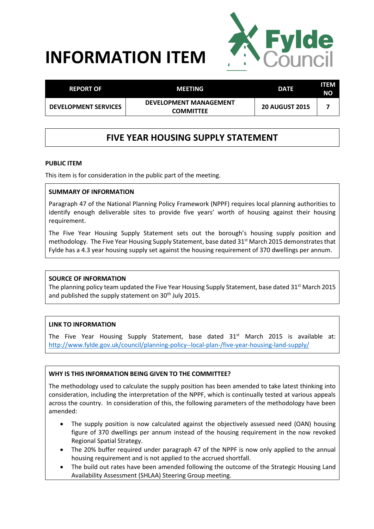# **INFORMATION ITEM**



| <b>REPORT OF</b>            | MEETING                                           | <b>DATE</b>           | <b>ITEM</b><br><b>NO</b> |
|-----------------------------|---------------------------------------------------|-----------------------|--------------------------|
| <b>DEVELOPMENT SERVICES</b> | <b>DEVELOPMENT MANAGEMENT</b><br><b>COMMITTEE</b> | <b>20 AUGUST 2015</b> |                          |

## **FIVE YEAR HOUSING SUPPLY STATEMENT**

#### **PUBLIC ITEM**

This item is for consideration in the public part of the meeting.

#### **SUMMARY OF INFORMATION**

Paragraph 47 of the National Planning Policy Framework (NPPF) requires local planning authorities to identify enough deliverable sites to provide five years' worth of housing against their housing requirement.

The Five Year Housing Supply Statement sets out the borough's housing supply position and methodology. The Five Year Housing Supply Statement, base dated 31<sup>st</sup> March 2015 demonstrates that Fylde has a 4.3 year housing supply set against the housing requirement of 370 dwellings per annum.

#### **SOURCE OF INFORMATION**

The planning policy team updated the Five Year Housing Supply Statement, base dated 31st March 2015 and published the supply statement on 30<sup>th</sup> July 2015.

#### **LINK TO INFORMATION**

The Five Year Housing Supply Statement, base dated  $31<sup>st</sup>$  March 2015 is available at: <http://www.fylde.gov.uk/council/planning-policy--local-plan-/five-year-housing-land-supply/>

### **WHY IS THIS INFORMATION BEING GIVEN TO THE COMMITTEE?**

The methodology used to calculate the supply position has been amended to take latest thinking into consideration, including the interpretation of the NPPF, which is continually tested at various appeals across the country. In consideration of this, the following parameters of the methodology have been amended:

- The supply position is now calculated against the objectively assessed need (OAN) housing figure of 370 dwellings per annum instead of the housing requirement in the now revoked Regional Spatial Strategy.
- The 20% buffer required under paragraph 47 of the NPPF is now only applied to the annual housing requirement and is not applied to the accrued shortfall.
- The build out rates have been amended following the outcome of the Strategic Housing Land Availability Assessment (SHLAA) Steering Group meeting.